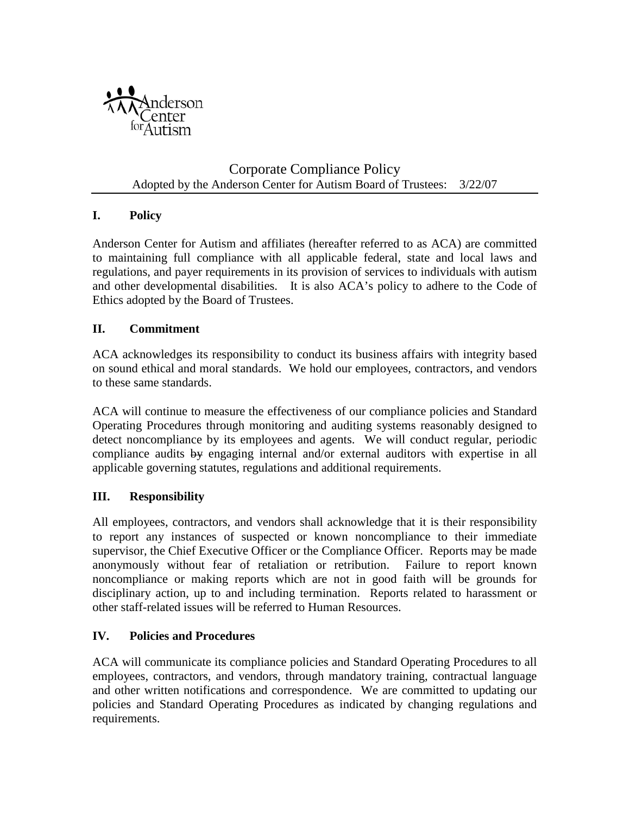

Corporate Compliance Policy Adopted by the Anderson Center for Autism Board of Trustees: 3/22/07

### **I. Policy**

Anderson Center for Autism and affiliates (hereafter referred to as ACA) are committed to maintaining full compliance with all applicable federal, state and local laws and regulations, and payer requirements in its provision of services to individuals with autism and other developmental disabilities. It is also ACA's policy to adhere to the Code of Ethics adopted by the Board of Trustees.

### **II. Commitment**

ACA acknowledges its responsibility to conduct its business affairs with integrity based on sound ethical and moral standards. We hold our employees, contractors, and vendors to these same standards.

ACA will continue to measure the effectiveness of our compliance policies and Standard Operating Procedures through monitoring and auditing systems reasonably designed to detect noncompliance by its employees and agents. We will conduct regular, periodic compliance audits by engaging internal and/or external auditors with expertise in all applicable governing statutes, regulations and additional requirements.

#### **III. Responsibility**

All employees, contractors, and vendors shall acknowledge that it is their responsibility to report any instances of suspected or known noncompliance to their immediate supervisor, the Chief Executive Officer or the Compliance Officer. Reports may be made anonymously without fear of retaliation or retribution. Failure to report known noncompliance or making reports which are not in good faith will be grounds for disciplinary action, up to and including termination. Reports related to harassment or other staff-related issues will be referred to Human Resources.

#### **IV. Policies and Procedures**

ACA will communicate its compliance policies and Standard Operating Procedures to all employees, contractors, and vendors, through mandatory training, contractual language and other written notifications and correspondence. We are committed to updating our policies and Standard Operating Procedures as indicated by changing regulations and requirements.